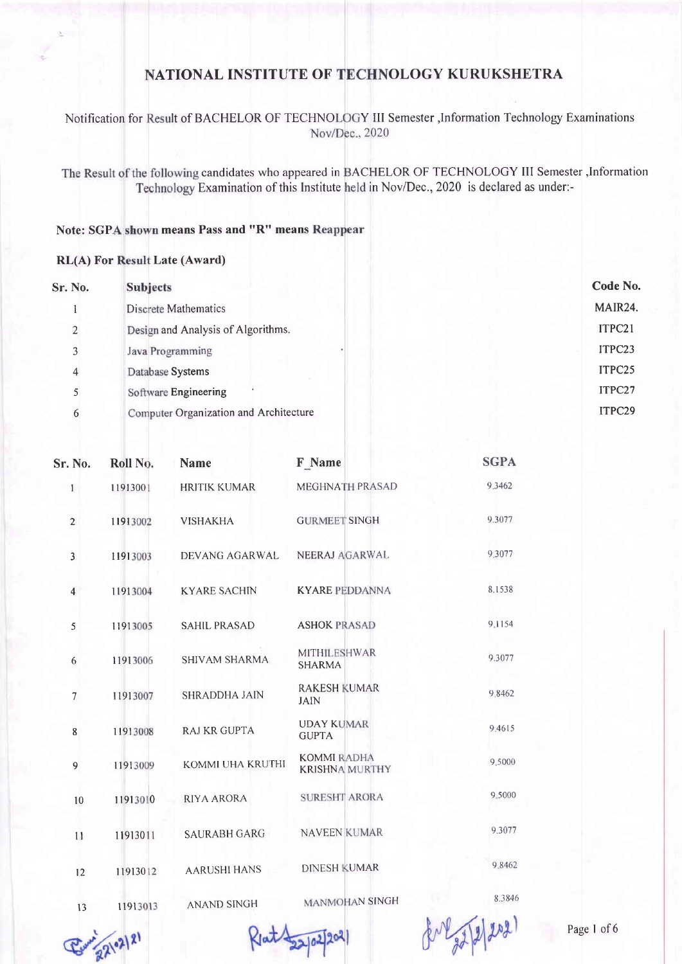### Notification for Result of BACHELOR OF TECHNOLOGY III Semester , Information Technology Examinations Nov/Dec., 2020

The Result of the following candidates who appeared in BACHELOR OF TECHNOLOGY III Semester , Information Technology Examination of this Institute held in Nov/Dec., 2020 is declared as under:-

### Note: SGPA shown means Pass and "R" means Reappear

#### **RL(A)** For Result Late (Award)

| Sr. No.        | <b>Subjects</b>                        | Code No. |
|----------------|----------------------------------------|----------|
|                | Discrete Mathematics                   | MAIR24.  |
| $\overline{2}$ | Design and Analysis of Algorithms.     | ITPC21   |
| 3              | Java Programming                       | ITPC23   |
| 4              | Database Systems                       | ITPC25   |
|                | Software Engineering                   | ITPC27   |
| 6              | Computer Organization and Architecture | ITPC29   |
|                |                                        |          |

| Sr. No.        | Roll No. | <b>Name</b>          | F Name                                      | <b>SGPA</b>                                                  |
|----------------|----------|----------------------|---------------------------------------------|--------------------------------------------------------------|
| $\mathbf{I}$   | 11913001 | <b>HRITIK KUMAR</b>  | <b>MEGHNATH PRASAD</b>                      | 9.3462                                                       |
| $\overline{2}$ | 11913002 | <b>VISHAKHA</b>      | <b>GURMEET SINGH</b>                        | 9.3077                                                       |
| 3              | 11913003 | DEVANG AGARWAL       | NEERAJ AGARWAL                              | 9.3077                                                       |
| $\overline{4}$ | 11913004 | <b>KYARE SACHIN</b>  | <b>KYARE PEDDANNA</b>                       | 8.1538                                                       |
| 5              | 11913005 | <b>SAHIL PRASAD</b>  | <b>ASHOK PRASAD</b>                         | 9.1154                                                       |
| 6              | 11913006 | <b>SHIVAM SHARMA</b> | <b>MITHILESHWAR</b><br><b>SHARMA</b>        | 9.3077                                                       |
| 7              | 11913007 | <b>SHRADDHA JAIN</b> | <b>RAKESH KUMAR</b><br><b>JAIN</b>          | 9.8462                                                       |
| 8              | 11913008 | <b>RAJ KR GUPTA</b>  | <b>UDAY KUMAR</b><br><b>GUPTA</b>           | 9.4615                                                       |
| 9              | 11913009 | KOMMI UHA KRUTHI     | <b>KOMMI RADHA</b><br><b>KRISHNA MURTHY</b> | 9.5000                                                       |
| 10             | 11913010 | RIYA ARORA           | <b>SURESHT ARORA</b>                        | 9.5000                                                       |
| 11             | 11913011 | <b>SAURABH GARG</b>  | <b>NAVEEN KUMAR</b>                         | 9.3077                                                       |
| 12             | 11913012 | <b>AARUSHI HANS</b>  | <b>DINESH KUMAR</b>                         | 9.8462                                                       |
| 13             | 11913013 | <b>ANAND SINGH</b>   | MANMOHAN SINGH                              | 8.3846                                                       |
|                |          |                      |                                             | and the state of the local<br><b>Contract Contract State</b> |



Ret 22/02/202

 $8^{11}2722$ 

Page 1 of 6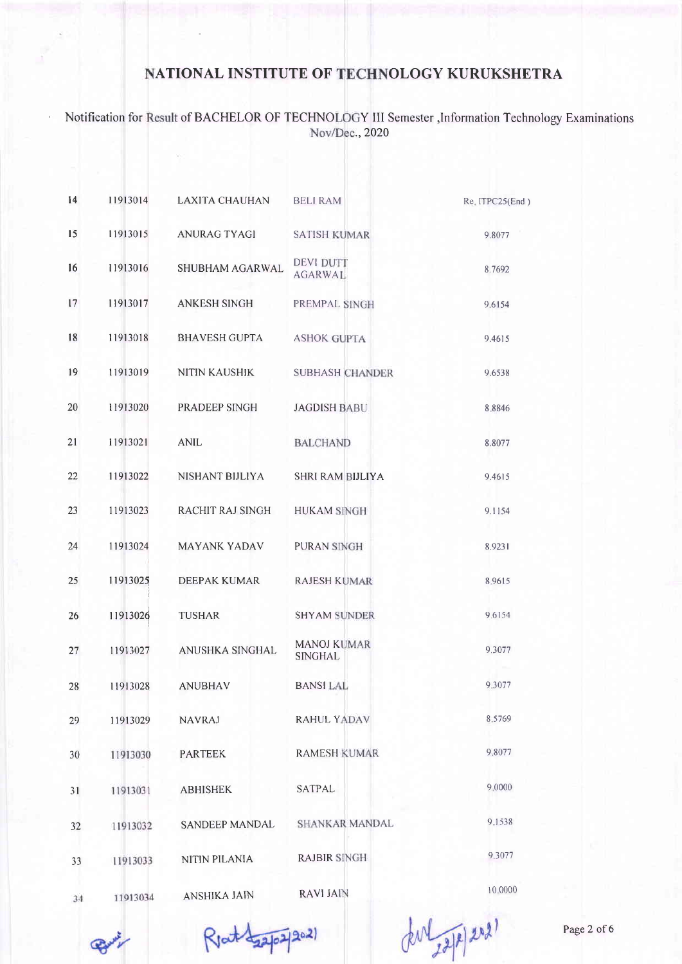Notification for Result of BACHELOR OF TECHNOLOGY III Semester , Information Technology Examinations Nov/Dec., 2020

 $\lambda$ 

| 14 | 11913014 | <b>LAXITA CHAUHAN</b>  | <b>BELI RAM</b>                      | Re. ITPC25(End |
|----|----------|------------------------|--------------------------------------|----------------|
| 15 | 11913015 | <b>ANURAG TYAGI</b>    | <b>SATISH KUMAR</b>                  | 9.8077         |
| 16 | 11913016 | <b>SHUBHAM AGARWAL</b> | <b>DEVI DUTT</b><br><b>AGARWAL</b>   | 8.7692         |
| 17 | 11913017 | <b>ANKESH SINGH</b>    | PREMPAL SINGH                        | 9.6154         |
| 18 | 11913018 | <b>BHAVESH GUPTA</b>   | <b>ASHOK GUPTA</b>                   | 9.4615         |
| 19 | 11913019 | <b>NITIN KAUSHIK</b>   | <b>SUBHASH CHANDER</b>               | 9.6538         |
| 20 | 11913020 | PRADEEP SINGH          | <b>JAGDISH BABU</b>                  | 8.8846         |
| 21 | 11913021 | <b>ANIL</b>            | <b>BALCHAND</b>                      | 8.8077         |
| 22 | 11913022 | NISHANT BIJLIYA        | <b>SHRI RAM BIJLIYA</b>              | 9.4615         |
| 23 | 11913023 | RACHIT RAJ SINGH       | <b>HUKAM SINGH</b>                   | 9.1154         |
| 24 | 11913024 | <b>MAYANK YADAV</b>    | PURAN SINGH                          | 8.9231         |
| 25 | 11913025 | <b>DEEPAK KUMAR</b>    | <b>RAJESH KUMAR</b>                  | 8.9615         |
| 26 | 11913026 | <b>TUSHAR</b>          | <b>SHYAM SUNDER</b>                  | 9.6154         |
| 27 | 11913027 | ANUSHKA SINGHAL        | <b>MANOJ KUMAR</b><br><b>SINGHAL</b> | 9.3077         |
| 28 | 11913028 | <b>ANUBHAV</b>         | <b>BANSILAL</b>                      | 9.3077         |
| 29 | 11913029 | <b>NAVRAJ</b>          | <b>RAHUL YADAV</b>                   | 8.5769         |
| 30 | 11913030 | <b>PARTEEK</b>         | <b>RAMESH KUMAR</b>                  | 9.8077         |
| 31 | 11913031 | <b>ABHISHEK</b>        | SATPAL                               | 9.0000         |
| 32 | 11913032 | SANDEEP MANDAL         | <b>SHANKAR MANDAL</b>                | 9.1538         |
| 33 | 11913033 | NITIN PILANIA          | <b>RAJBIR SINGH</b>                  | 9.3077         |
| 34 | 11913034 | <b>ANSHIKA JAIN</b>    | <b>RAVI JAIN</b>                     | 10.0000        |

 $202)$ Rent dags

der 22/8/2021

Page 2 of 6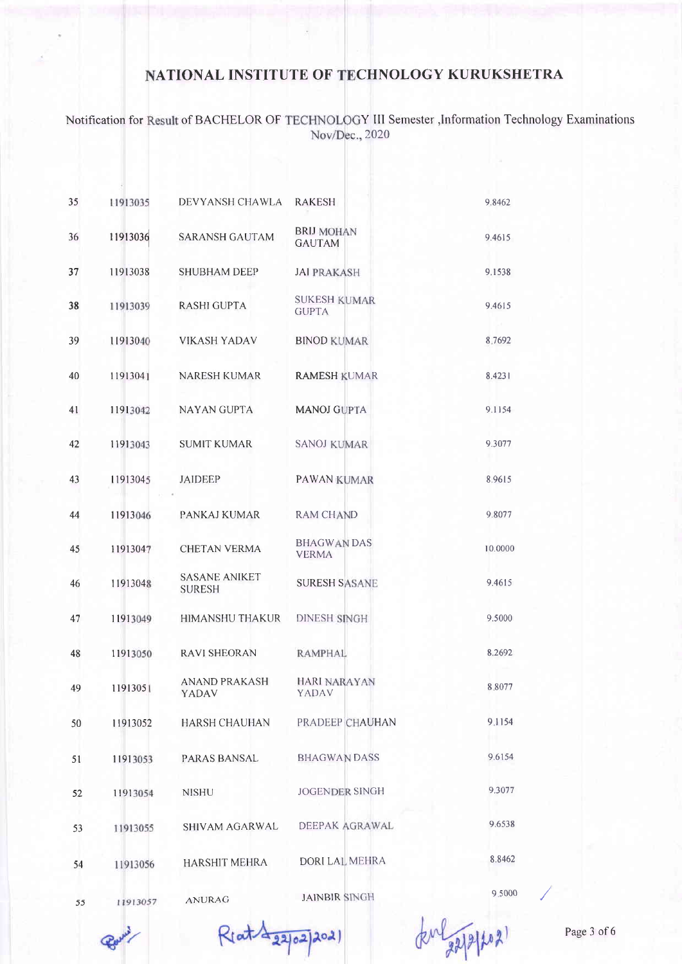Notification for Result of BACHELOR OF TECHNOLOGY III Semester , Information Technology Examinations Nov/Dec., 2020

| 35 | 11913035 | DEVYANSH CHAWLA                       | RAKESH                              | 9.8462  |
|----|----------|---------------------------------------|-------------------------------------|---------|
| 36 | 11913036 | <b>SARANSH GAUTAM</b>                 | <b>BRIJ MOHAN</b><br><b>GAUTAM</b>  | 9.4615  |
| 37 | 11913038 | <b>SHUBHAM DEEP</b>                   | <b>JAI PRAKASH</b>                  | 9.1538  |
| 38 | 11913039 | <b>RASHI GUPTA</b>                    | <b>SUKESH KUMAR</b><br><b>GUPTA</b> | 9.4615  |
| 39 | 11913040 | <b>VIKASH YADAV</b>                   | <b>BINOD KUMAR</b>                  | 8.7692  |
| 40 | 11913041 | NARESH KUMAR                          | <b>RAMESH KUMAR</b>                 | 8.4231  |
| 41 | 11913042 | NAYAN GUPTA                           | <b>MANOJ GUPTA</b>                  | 9.1154  |
| 42 | 11913043 | <b>SUMIT KUMAR</b>                    | <b>SANOJ KUMAR</b>                  | 9.3077  |
| 43 | 11913045 | <b>JAIDEEP</b>                        | <b>PAWAN KUMAR</b>                  | 8.9615  |
| 44 | 11913046 | PANKAJ KUMAR                          | <b>RAM CHAND</b>                    | 9.8077  |
| 45 | 11913047 | <b>CHETAN VERMA</b>                   | <b>BHAGWAN DAS</b><br><b>VERMA</b>  | 10.0000 |
| 46 | 11913048 | <b>SASANE ANIKET</b><br><b>SURESH</b> | <b>SURESH SASANE</b>                | 9,4615  |
| 47 | 11913049 | <b>HIMANSHU THAKUR</b>                | <b>DINESH SINGH</b>                 | 9.5000  |
| 48 | 11913050 | <b>RAVI SHEORAN</b>                   | <b>RAMPHAL</b>                      | 8.2692  |
| 49 | 11913051 | <b>ANAND PRAKASH</b><br>YADAV         | <b>HARI NARAYAN</b><br>YADAV        | 8.8077  |
| 50 | 11913052 | <b>HARSH CHAUHAN</b>                  | PRADEEP CHAUHAN                     | 9.1154  |
| 51 | 11913053 | PARAS BANSAL                          | <b>BHAGWAN DASS</b>                 | 9.6154  |
| 52 | 11913054 | <b>NISHU</b>                          | <b>JOGENDER SINGH</b>               | 9.3077  |
| 53 | 11913055 | SHIVAM AGARWAL                        | DEEPAK AGRAWAL                      | 9.6538  |
| 54 | 11913056 | <b>HARSHIT MEHRA</b>                  | DORI LAL MEHRA                      | 8.8462  |
|    |          |                                       | <b>JAINRIR SINGH</b>                | 9,5000  |

11913057 55

**ANURAG** 

Reat A 22/02/2021

**JAINBIR SINGH** 

M 22/2/2021

Page 3 of 6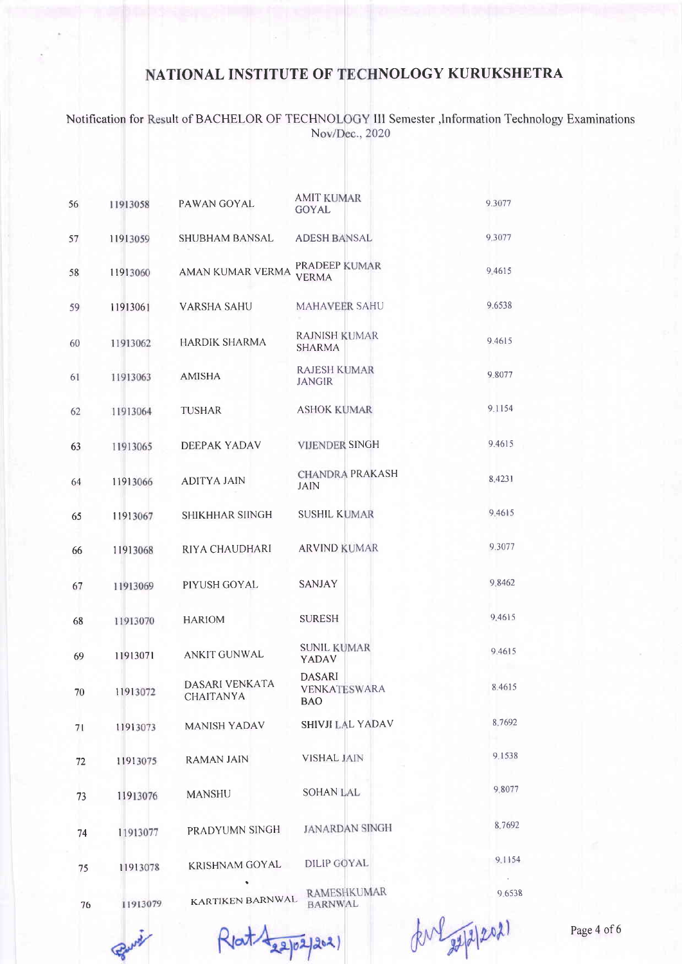Notification for Result of BACHELOR OF TECHNOLOGY III Semester ,Information Technology Examinations Nov/Dec., 2020

| 56 | 11913058 | PAWAN GOYAL                        | <b>AMIT KUMAR</b><br><b>GOYAL</b>           | 9.3077 |
|----|----------|------------------------------------|---------------------------------------------|--------|
| 57 | 11913059 | <b>SHUBHAM BANSAL</b>              | <b>ADESH BANSAL</b>                         | 9.3077 |
| 58 | 11913060 | AMAN KUMAR VERMA                   | <b>PRADEEP KUMAR</b><br><b>VERMA</b>        | 9.4615 |
| 59 | 11913061 | <b>VARSHA SAHU</b>                 | <b>MAHAVEER SAHU</b>                        | 9.6538 |
| 60 | 11913062 | <b>HARDIK SHARMA</b>               | <b>RAJNISH KUMAR</b><br><b>SHARMA</b>       | 9.4615 |
| 61 | 11913063 | <b>AMISHA</b>                      | <b>RAJESH KUMAR</b><br>JANGIR               | 9.8077 |
| 62 | 11913064 | TUSHAR                             | <b>ASHOK KUMAR</b>                          | 9.1154 |
| 63 | 11913065 | DEEPAK YADAV                       | <b>VIJENDER SINGH</b>                       | 9.4615 |
| 64 | 11913066 | <b>ADITYA JAIN</b>                 | <b>CHANDRA PRAKASH</b><br><b>JAIN</b>       | 8.4231 |
| 65 | 11913067 | <b>SHIKHHAR SIINGH</b>             | <b>SUSHIL KUMAR</b>                         | 9.4615 |
| 66 | 11913068 | RIYA CHAUDHARI                     | <b>ARVIND KUMAR</b>                         | 9.3077 |
| 67 | 11913069 | PIYUSH GOYAL                       | <b>SANJAY</b>                               | 9.8462 |
| 68 | 11913070 | <b>HARIOM</b>                      | SURESH                                      | 9.4615 |
| 69 | 11913071 | <b>ANKIT GUNWAL</b>                | <b>SUNIL KUMAR</b><br>YADAV                 | 9.4615 |
| 70 | 11913072 | DASARI VENKATA<br><b>CHAITANYA</b> | <b>DASARI</b><br><b>VENKATESWARA</b><br>BAO | 8.4615 |
| 71 | 11913073 | <b>MANISH YADAV</b>                | <b>SHIVJI LAL YADAV</b>                     | 8.7692 |
| 72 | 11913075 | <b>RAMAN JAIN</b>                  | <b>VISHAL JAIN</b>                          | 9.1538 |
| 73 | 11913076 | <b>MANSHU</b>                      | <b>SOHAN LAL</b>                            | 9.8077 |
| 74 | 11913077 | PRADYUMN SINGH                     | <b>JANARDAN SINGH</b>                       | 8.7692 |
| 75 | 11913078 | KRISHNAM GOYAL                     | <b>DILIP GOYAL</b>                          | 9.1154 |
| 76 | 11913079 | KARTIKEN BARNWAL                   | <b>RAMESHKUMAR</b><br><b>BARNWAL</b>        | 9.6538 |

Rent 122/02/2021

du 20212021

Page 4 of 6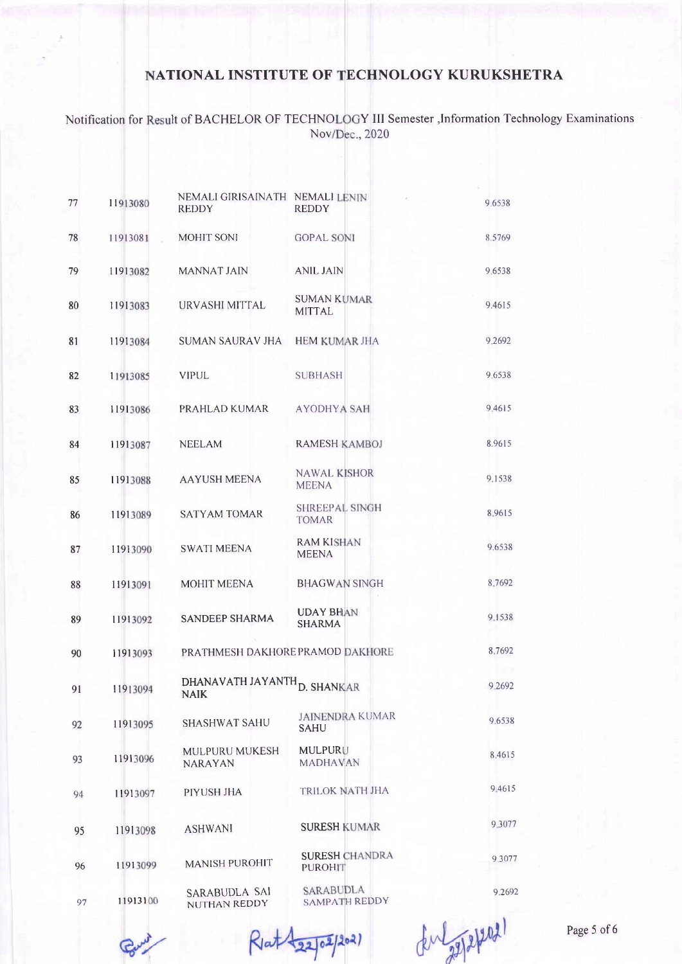Notification for Result of BACHELOR OF TECHNOLOGY III Semester , Information Technology Examinations Nov/Dec., 2020

| 77 | 11913080 | NEMALI GIRISAINATH NEMALI LENIN<br><b>REDDY</b>        | <b>REDDY</b>                            | 9.6538 |
|----|----------|--------------------------------------------------------|-----------------------------------------|--------|
| 78 | 11913081 | MOHIT SONI                                             | <b>GOPAL SONI</b>                       | 8.5769 |
| 79 | 11913082 | MANNAT JAIN                                            | <b>ANIL JAIN</b>                        | 9.6538 |
| 80 | 11913083 | URVASHI MITTAL                                         | <b>SUMAN KUMAR</b><br><b>MITTAL</b>     | 9.4615 |
| 81 | 11913084 | <b>SUMAN SAURAV JHA</b>                                | <b>HEM KUMAR JHA</b>                    | 9.2692 |
| 82 | 11913085 | <b>VIPUL</b>                                           | <b>SUBHASH</b>                          | 9.6538 |
| 83 | 11913086 | PRAHLAD KUMAR                                          | AYODHYA SAH                             | 9.4615 |
| 84 | 11913087 | <b>NEELAM</b>                                          | <b>RAMESH KAMBOJ</b>                    | 8.9615 |
| 85 | 11913088 | <b>AAYUSH MEENA</b>                                    | <b>NAWAL KISHOR</b><br><b>MEENA</b>     | 9.1538 |
| 86 | 11913089 | <b>SATYAM TOMAR</b>                                    | <b>SHREEPAL SINGH</b><br><b>TOMAR</b>   | 8.9615 |
| 87 | 11913090 | <b>SWATI MEENA</b>                                     | <b>RAM KISHAN</b><br><b>MEENA</b>       | 9.6538 |
| 88 | 11913091 | <b>MOHIT MEENA</b>                                     | <b>BHAGWAN SINGH</b>                    | 8.7692 |
| 89 | 11913092 | <b>SANDEEP SHARMA</b>                                  | <b>UDAY BHAN</b><br><b>SHARMA</b>       | 9.1538 |
| 90 | 11913093 | PRATHMESH DAKHORE PRAMOD DAKHORE                       |                                         | 8.7692 |
| 91 | 11913094 | DHANAVATH JAYANTH <sub>D. SHANKAR</sub><br><b>NAIK</b> |                                         | 9.2692 |
| 92 | 11913095 | <b>SHASHWAT SAHU</b>                                   | <b>JAINENDRA KUMAR</b><br><b>SAHU</b>   | 9.6538 |
| 93 | 11913096 | MULPURU MUKESH<br><b>NARAYAN</b>                       | MULPURU<br><b>MADHAVAN</b>              | 8.4615 |
| 94 | 11913097 | PIYUSH JHA                                             | TRILOK NATH JHA                         | 9.4615 |
| 95 | 11913098 | <b>ASHWANI</b>                                         | <b>SURESH KUMAR</b>                     | 9.3077 |
| 96 | 11913099 | <b>MANISH PUROHIT</b>                                  | <b>SURESH CHANDRA</b><br><b>PUROHIT</b> | 9.3077 |
| 97 | 11913100 | <b>SARABUDLA SAI</b><br><b>NUTHAN REDDY</b>            | <b>SARABUDLA</b><br>SAMPATH REDDY       | 9.2692 |

Rlat \$22/02/2021

Enlapped)

Page 5 of 6